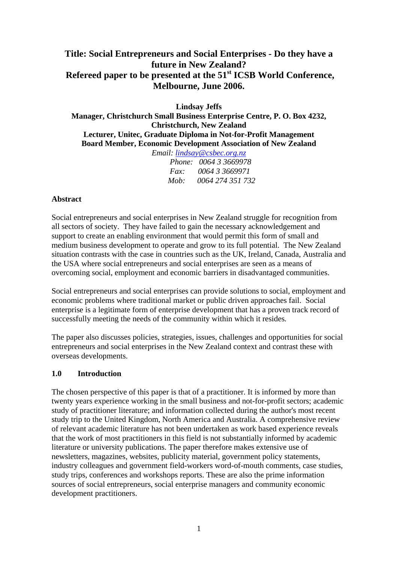# **Title: Social Entrepreneurs and Social Enterprises - Do they have a future in New Zealand? Refereed paper to be presented at the 51st ICSB World Conference, Melbourne, June 2006.**

**Lindsay Jeffs** 

**Manager, Christchurch Small Business Enterprise Centre, P. O. Box 4232, Christchurch, New Zealand Lecturer, Unitec, Graduate Diploma in Not-for-Profit Management Board Member, Economic Development Association of New Zealand** *Email: [lindsay@csbec.org.nz](mailto:lindsay@csbec.org.nz)*

| $L$ <i>ntan.</i> $l$ <i>ntasay</i> $\mathscr{C}$ Cs <i>De</i> C. <i>O</i> $\mathscr{C}$ . $u$ . |                              |
|-------------------------------------------------------------------------------------------------|------------------------------|
|                                                                                                 | <i>Phone: 0064 3 3669978</i> |
| Fax                                                                                             | 0064 3 3669971               |
| Moh:                                                                                            | 0064 274 351 732             |

#### **Abstract**

Social entrepreneurs and social enterprises in New Zealand struggle for recognition from all sectors of society. They have failed to gain the necessary acknowledgement and support to create an enabling environment that would permit this form of small and medium business development to operate and grow to its full potential. The New Zealand situation contrasts with the case in countries such as the UK, Ireland, Canada, Australia and the USA where social entrepreneurs and social enterprises are seen as a means of overcoming social, employment and economic barriers in disadvantaged communities.

Social entrepreneurs and social enterprises can provide solutions to social, employment and economic problems where traditional market or public driven approaches fail. Social enterprise is a legitimate form of enterprise development that has a proven track record of successfully meeting the needs of the community within which it resides*.* 

The paper also discusses policies, strategies, issues, challenges and opportunities for social entrepreneurs and social enterprises in the New Zealand context and contrast these with overseas developments.

#### **1.0 Introduction**

The chosen perspective of this paper is that of a practitioner. It is informed by more than twenty years experience working in the small business and not-for-profit sectors; academic study of practitioner literature; and information collected during the author's most recent study trip to the United Kingdom, North America and Australia. A comprehensive review of relevant academic literature has not been undertaken as work based experience reveals that the work of most practitioners in this field is not substantially informed by academic literature or university publications. The paper therefore makes extensive use of newsletters, magazines, websites, publicity material, government policy statements, industry colleagues and government field-workers word-of-mouth comments, case studies, study trips, conferences and workshops reports. These are also the prime information sources of social entrepreneurs, social enterprise managers and community economic development practitioners.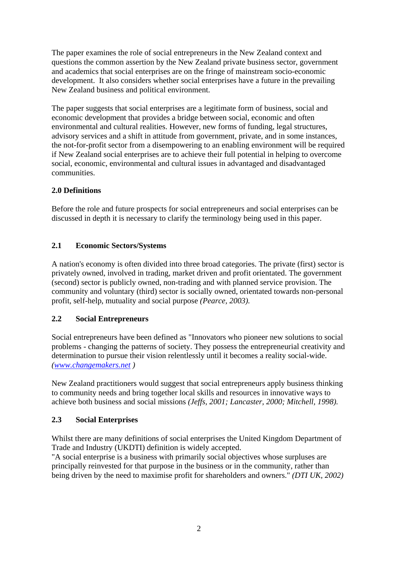The paper examines the role of social entrepreneurs in the New Zealand context and questions the common assertion by the New Zealand private business sector, government and academics that social enterprises are on the fringe of mainstream socio-economic development. It also considers whether social enterprises have a future in the prevailing New Zealand business and political environment.

The paper suggests that social enterprises are a legitimate form of business, social and economic development that provides a bridge between social, economic and often environmental and cultural realities. However, new forms of funding, legal structures, advisory services and a shift in attitude from government, private, and in some instances, the not-for-profit sector from a disempowering to an enabling environment will be required if New Zealand social enterprises are to achieve their full potential in helping to overcome social, economic, environmental and cultural issues in advantaged and disadvantaged communities.

# **2.0 Definitions**

Before the role and future prospects for social entrepreneurs and social enterprises can be discussed in depth it is necessary to clarify the terminology being used in this paper.

# **2.1 Economic Sectors/Systems**

A nation's economy is often divided into three broad categories. The private (first) sector is privately owned, involved in trading, market driven and profit orientated. The government (second) sector is publicly owned, non-trading and with planned service provision. The community and voluntary (third) sector is socially owned, orientated towards non-personal profit, self-help, mutuality and social purpose *(Pearce, 2003).* 

### **2.2 Social Entrepreneurs**

Social entrepreneurs have been defined as "Innovators who pioneer new solutions to social problems - changing the patterns of society. They possess the entrepreneurial creativity and determination to pursue their vision relentlessly until it becomes a reality social-wide. *[\(www.changemakers.net](http://www.changemakers.net/) )* 

New Zealand practitioners would suggest that social entrepreneurs apply business thinking to community needs and bring together local skills and resources in innovative ways to achieve both business and social missions *(Jeffs, 2001; Lancaster, 2000; Mitchell, 1998).* 

#### **2.3 Social Enterprises**

Whilst there are many definitions of social enterprises the United Kingdom Department of Trade and Industry (UKDTI) definition is widely accepted.

"A social enterprise is a business with primarily social objectives whose surpluses are principally reinvested for that purpose in the business or in the community, rather than being driven by the need to maximise profit for shareholders and owners." *(DTI UK, 2002)*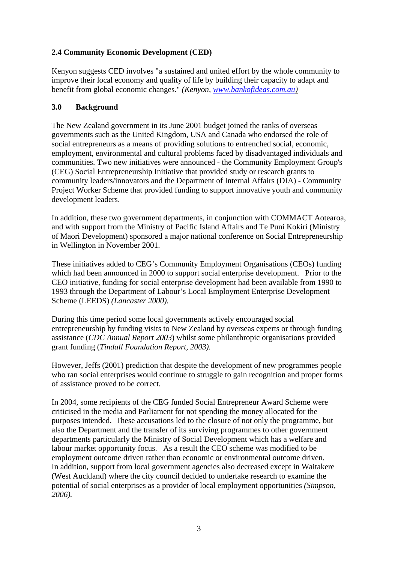# **2.4 Community Economic Development (CED)**

Kenyon suggests CED involves "a sustained and united effort by the whole community to improve their local economy and quality of life by building their capacity to adapt and benefit from global economic changes." *(Kenyon, [www.bankofideas.com.au\)](http://www.bankofideas.com.au/)*

### **3.0 Background**

The New Zealand government in its June 2001 budget joined the ranks of overseas governments such as the United Kingdom, USA and Canada who endorsed the role of social entrepreneurs as a means of providing solutions to entrenched social, economic, employment, environmental and cultural problems faced by disadvantaged individuals and communities. Two new initiatives were announced - the Community Employment Group's (CEG) Social Entrepreneurship Initiative that provided study or research grants to community leaders/innovators and the Department of Internal Affairs (DIA) - Community Project Worker Scheme that provided funding to support innovative youth and community development leaders.

In addition, these two government departments, in conjunction with COMMACT Aotearoa, and with support from the Ministry of Pacific Island Affairs and Te Puni Kokiri (Ministry of Maori Development) sponsored a major national conference on Social Entrepreneurship in Wellington in November 2001.

These initiatives added to CEG's Community Employment Organisations (CEOs) funding which had been announced in 2000 to support social enterprise development. Prior to the CEO initiative, funding for social enterprise development had been available from 1990 to 1993 through the Department of Labour's Local Employment Enterprise Development Scheme (LEEDS) *(Lancaster 2000).*

During this time period some local governments actively encouraged social entrepreneurship by funding visits to New Zealand by overseas experts or through funding assistance (*CDC Annual Report 2003*) whilst some philanthropic organisations provided grant funding (*Tindall Foundation Report, 2003).*

However, Jeffs (2001) prediction that despite the development of new programmes people who ran social enterprises would continue to struggle to gain recognition and proper forms of assistance proved to be correct.

In 2004, some recipients of the CEG funded Social Entrepreneur Award Scheme were criticised in the media and Parliament for not spending the money allocated for the purposes intended. These accusations led to the closure of not only the programme, but also the Department and the transfer of its surviving programmes to other government departments particularly the Ministry of Social Development which has a welfare and labour market opportunity focus. As a result the CEO scheme was modified to be employment outcome driven rather than economic or environmental outcome driven. In addition, support from local government agencies also decreased except in Waitakere (West Auckland) where the city council decided to undertake research to examine the potential of social enterprises as a provider of local employment opportunities *(Simpson, 2006).*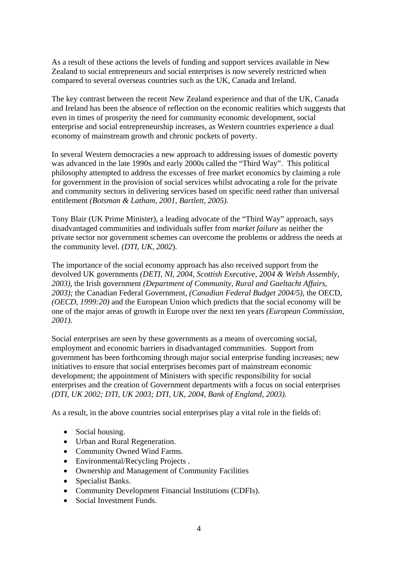As a result of these actions the levels of funding and support services available in New Zealand to social entrepreneurs and social enterprises is now severely restricted when compared to several overseas countries such as the UK, Canada and Ireland.

The key contrast between the recent New Zealand experience and that of the UK, Canada and Ireland has been the absence of reflection on the economic realities which suggests that even in times of prosperity the need for community economic development, social enterprise and social entrepreneurship increases, as Western countries experience a dual economy of mainstream growth and chronic pockets of poverty.

In several Western democracies a new approach to addressing issues of domestic poverty was advanced in the late 1990s and early 2000s called the "Third Way". This political philosophy attempted to address the excesses of free market economics by claiming a role for government in the provision of social services whilst advocating a role for the private and community sectors in delivering services based on specific need rather than universal entitlement *(Botsman & Latham, 2001*, *Bartlett, 2005).* 

Tony Blair (UK Prime Minister), a leading advocate of the "Third Way" approach, says disadvantaged communities and individuals suffer from *market failure* as neither the private sector nor government schemes can overcome the problems or address the needs at the community level. *(DTI, UK, 2002*).

The importance of the social economy approach has also received support from the devolved UK governments *(DETI, NI, 2004, Scottish Executive, 2004 & Welsh Assembly, 2003)*, the Irish government *(Department of Community, Rural and Gaeltacht Affairs, 2003);* the Canadian Federal Government, *(Canadian Federal Budget 2004/5)*, the OECD, *(OECD, 1999:20)* and the European Union which predicts that the social economy will be one of the major areas of growth in Europe over the next ten years *(European Commission, 2001)*.

Social enterprises are seen by these governments as a means of overcoming social, employment and economic barriers in disadvantaged communities. Support from government has been forthcoming through major social enterprise funding increases; new initiatives to ensure that social enterprises becomes part of mainstream economic development; the appointment of Ministers with specific responsibility for social enterprises and the creation of Government departments with a focus on social enterprises *(DTI, UK 2002; DTI, UK 2003; DTI, UK, 2004, Bank of England, 2003).*

As a result, in the above countries social enterprises play a vital role in the fields of:

- Social housing.
- Urban and Rural Regeneration.
- Community Owned Wind Farms.
- Environmental/Recycling Projects.
- Ownership and Management of Community Facilities
- Specialist Banks.
- Community Development Financial Institutions (CDFIs).
- Social Investment Funds.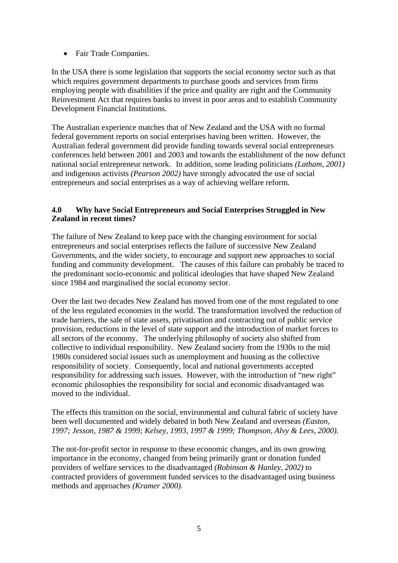• Fair Trade Companies.

In the USA there is some legislation that supports the social economy sector such as that which requires government departments to purchase goods and services from firms employing people with disabilities if the price and quality are right and the Community Reinvestment Act that requires banks to invest in poor areas and to establish Community Development Financial Institutions.

The Australian experience matches that of New Zealand and the USA with no formal federal government reports on social enterprises having been written. However, the Australian federal government did provide funding towards several social entrepreneurs conferences held between 2001 and 2003 and towards the establishment of the now defunct national social entrepreneur network. In addition, some leading politicians *(Latham, 2001)* and indigenous activists *(Pearson 2002)* have strongly advocated the use of social entrepreneurs and social enterprises as a way of achieving welfare reform.

#### **4.0 Why have Social Entrepreneurs and Social Enterprises Struggled in New Zealand in recent times?**

The failure of New Zealand to keep pace with the changing environment for social entrepreneurs and social enterprises reflects the failure of successive New Zealand Governments, and the wider society, to encourage and support new approaches to social funding and community development. The causes of this failure can probably be traced to the predominant socio-economic and political ideologies that have shaped New Zealand since 1984 and marginalised the social economy sector.

Over the last two decades New Zealand has moved from one of the most regulated to one of the less regulated economies in the world. The transformation involved the reduction of trade barriers, the sale of state assets, privatisation and contracting out of public service provision, reductions in the level of state support and the introduction of market forces to all sectors of the economy. The underlying philosophy of society also shifted from collective to individual responsibility. New Zealand society from the 1930s to the mid 1980s considered social issues such as unemployment and housing as the collective responsibility of society. Consequently, local and national governments accepted responsibility for addressing such issues. However, with the introduction of "new right" economic philosophies the responsibility for social and economic disadvantaged was moved to the individual.

The effects this transition on the social, environmental and cultural fabric of society have been well documented and widely debated in both New Zealand and overseas *(Easton, 1997; Jesson, 1987 & 1999; Kelsey, 1993, 1997 & 1999; Thompson, Alvy & Lees, 2000).* 

The not-for-profit sector in response to these economic changes, and its own growing importance in the economy, changed from being primarily grant or donation funded providers of welfare services to the disadvantaged *(Robinson & Hanley, 2002)* to contracted providers of government funded services to the disadvantaged using business methods and approaches *(Kramer 2000).*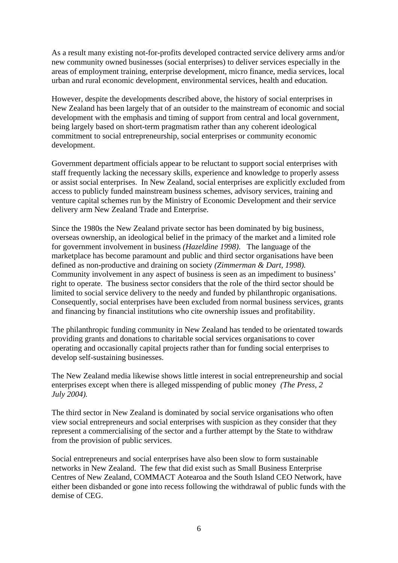As a result many existing not-for-profits developed contracted service delivery arms and/or new community owned businesses (social enterprises) to deliver services especially in the areas of employment training, enterprise development, micro finance, media services, local urban and rural economic development, environmental services, health and education.

However, despite the developments described above, the history of social enterprises in New Zealand has been largely that of an outsider to the mainstream of economic and social development with the emphasis and timing of support from central and local government, being largely based on short-term pragmatism rather than any coherent ideological commitment to social entrepreneurship, social enterprises or community economic development.

Government department officials appear to be reluctant to support social enterprises with staff frequently lacking the necessary skills, experience and knowledge to properly assess or assist social enterprises. In New Zealand, social enterprises are explicitly excluded from access to publicly funded mainstream business schemes, advisory services, training and venture capital schemes run by the Ministry of Economic Development and their service delivery arm New Zealand Trade and Enterprise.

Since the 1980s the New Zealand private sector has been dominated by big business, overseas ownership, an ideological belief in the primacy of the market and a limited role for government involvement in business *(Hazeldine 1998)*. The language of the marketplace has become paramount and public and third sector organisations have been defined as non-productive and draining on society *(Zimmerman & Dart, 1998).*  Community involvement in any aspect of business is seen as an impediment to business' right to operate. The business sector considers that the role of the third sector should be limited to social service delivery to the needy and funded by philanthropic organisations. Consequently, social enterprises have been excluded from normal business services, grants and financing by financial institutions who cite ownership issues and profitability.

The philanthropic funding community in New Zealand has tended to be orientated towards providing grants and donations to charitable social services organisations to cover operating and occasionally capital projects rather than for funding social enterprises to develop self-sustaining businesses.

The New Zealand media likewise shows little interest in social entrepreneurship and social enterprises except when there is alleged misspending of public money *(The Press, 2 July 2004).* 

The third sector in New Zealand is dominated by social service organisations who often view social entrepreneurs and social enterprises with suspicion as they consider that they represent a commercialising of the sector and a further attempt by the State to withdraw from the provision of public services.

Social entrepreneurs and social enterprises have also been slow to form sustainable networks in New Zealand. The few that did exist such as Small Business Enterprise Centres of New Zealand, COMMACT Aotearoa and the South Island CEO Network, have either been disbanded or gone into recess following the withdrawal of public funds with the demise of CEG.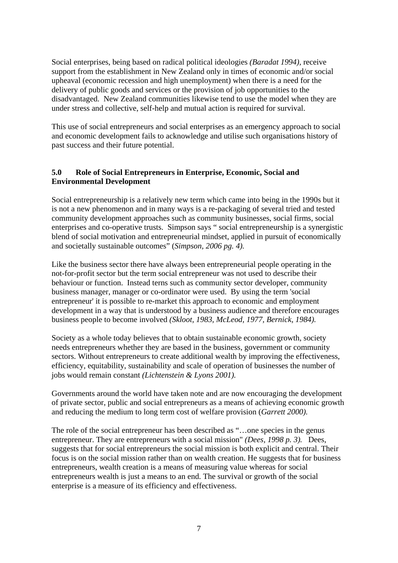Social enterprises, being based on radical political ideologies *(Baradat 1994),* receive support from the establishment in New Zealand only in times of economic and/or social upheaval (economic recession and high unemployment) when there is a need for the delivery of public goods and services or the provision of job opportunities to the disadvantaged. New Zealand communities likewise tend to use the model when they are under stress and collective, self-help and mutual action is required for survival.

This use of social entrepreneurs and social enterprises as an emergency approach to social and economic development fails to acknowledge and utilise such organisations history of past success and their future potential.

#### **5.0 Role of Social Entrepreneurs in Enterprise, Economic, Social and Environmental Development**

Social entrepreneurship is a relatively new term which came into being in the 1990s but it is not a new phenomenon and in many ways is a re-packaging of several tried and tested community development approaches such as community businesses, social firms, social enterprises and co-operative trusts. Simpson says " social entrepreneurship is a synergistic blend of social motivation and entrepreneurial mindset, applied in pursuit of economically and societally sustainable outcomes" (*Simpson, 2006 pg. 4).* 

Like the business sector there have always been entrepreneurial people operating in the not-for-profit sector but the term social entrepreneur was not used to describe their behaviour or function. Instead terns such as community sector developer, community business manager, manager or co-ordinator were used. By using the term 'social entrepreneur' it is possible to re-market this approach to economic and employment development in a way that is understood by a business audience and therefore encourages business people to become involved *(Skloot, 1983, McLeod, 1977, Bernick, 1984).* 

Society as a whole today believes that to obtain sustainable economic growth, society needs entrepreneurs whether they are based in the business, government or community sectors. Without entrepreneurs to create additional wealth by improving the effectiveness, efficiency, equitability, sustainability and scale of operation of businesses the number of jobs would remain constant *(Lichtenstein & Lyons 2001).* 

Governments around the world have taken note and are now encouraging the development of private sector, public and social entrepreneurs as a means of achieving economic growth and reducing the medium to long term cost of welfare provision (*Garrett 2000).* 

The role of the social entrepreneur has been described as "…one species in the genus entrepreneur. They are entrepreneurs with a social mission" *(Dees, 1998 p. 3).* Dees, suggests that for social entrepreneurs the social mission is both explicit and central. Their focus is on the social mission rather than on wealth creation. He suggests that for business entrepreneurs, wealth creation is a means of measuring value whereas for social entrepreneurs wealth is just a means to an end. The survival or growth of the social enterprise is a measure of its efficiency and effectiveness.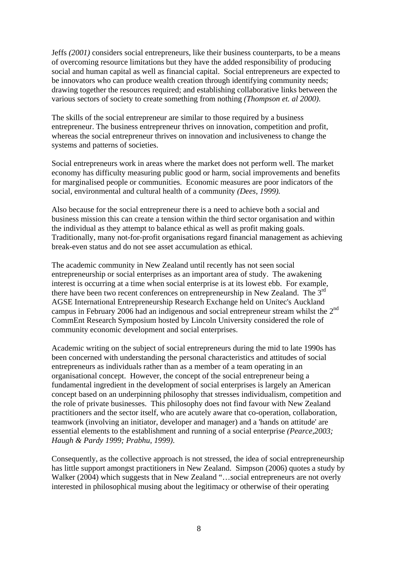Jeffs *(2001)* considers social entrepreneurs, like their business counterparts, to be a means of overcoming resource limitations but they have the added responsibility of producing social and human capital as well as financial capital. Social entrepreneurs are expected to be innovators who can produce wealth creation through identifying community needs; drawing together the resources required; and establishing collaborative links between the various sectors of society to create something from nothing *(Thompson et. al 2000)*.

The skills of the social entrepreneur are similar to those required by a business entrepreneur. The business entrepreneur thrives on innovation, competition and profit, whereas the social entrepreneur thrives on innovation and inclusiveness to change the systems and patterns of societies.

Social entrepreneurs work in areas where the market does not perform well. The market economy has difficulty measuring public good or harm, social improvements and benefits for marginalised people or communities. Economic measures are poor indicators of the social, environmental and cultural health of a community *(Dees, 1999).*

Also because for the social entrepreneur there is a need to achieve both a social and business mission this can create a tension within the third sector organisation and within the individual as they attempt to balance ethical as well as profit making goals. Traditionally, many not-for-profit organisations regard financial management as achieving break-even status and do not see asset accumulation as ethical.

The academic community in New Zealand until recently has not seen social entrepreneurship or social enterprises as an important area of study. The awakening interest is occurring at a time when social enterprise is at its lowest ebb. For example, there have been two recent conferences on entrepreneurship in New Zealand. The  $3<sup>rd</sup>$ AGSE International Entrepreneurship Research Exchange held on Unitec's Auckland campus in February 2006 had an indigenous and social entrepreneur stream whilst the 2nd CommEnt Research Symposium hosted by Lincoln University considered the role of community economic development and social enterprises.

Academic writing on the subject of social entrepreneurs during the mid to late 1990s has been concerned with understanding the personal characteristics and attitudes of social entrepreneurs as individuals rather than as a member of a team operating in an organisational concept. However, the concept of the social entrepreneur being a fundamental ingredient in the development of social enterprises is largely an American concept based on an underpinning philosophy that stresses individualism, competition and the role of private businesses. This philosophy does not find favour with New Zealand practitioners and the sector itself, who are acutely aware that co-operation, collaboration, teamwork (involving an initiator, developer and manager) and a 'hands on attitude' are essential elements to the establishment and running of a social enterprise *(Pearce,2003; Haugh & Pardy 1999; Prabhu, 1999)*.

Consequently, as the collective approach is not stressed, the idea of social entrepreneurship has little support amongst practitioners in New Zealand. Simpson (2006) quotes a study by Walker (2004) which suggests that in New Zealand "...social entrepreneurs are not overly interested in philosophical musing about the legitimacy or otherwise of their operating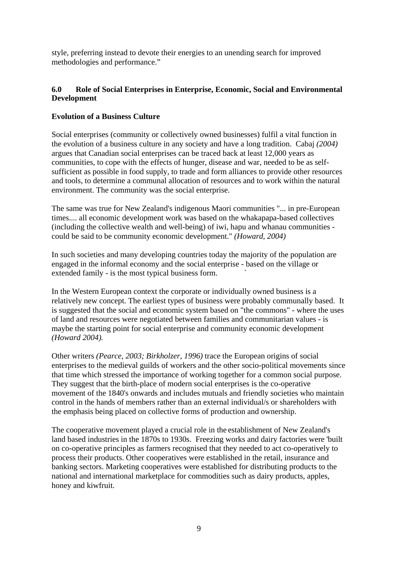style, preferring instead to devote their energies to an unending search for improved methodologies and performance."

#### **6.0 Role of Social Enterprises in Enterprise, Economic, Social and Environmental Development**

#### **Evolution of a Business Culture**

Social enterprises (community or collectively owned businesses) fulfil a vital function in the evolution of a business culture in any society and have a long tradition. Cabaj *(2004)* argues that Canadian social enterprises can be traced back at least 12,000 years as communities, to cope with the effects of hunger, disease and war, needed to be as selfsufficient as possible in food supply, to trade and form alliances to provide other resources and tools, to determine a communal allocation of resources and to work within the natural environment. The community was the social enterprise.

The same was true for New Zealand's indigenous Maori communities "... in pre-European times.... all economic development work was based on the whakapapa-based collectives (including the collective wealth and well-being) of iwi, hapu and whanau communities could be said to be community economic development." *(Howard, 2004)* 

In such societies and many developing countries today the majority of the population are engaged in the informal economy and the social enterprise - based on the village or extended family - is the most typical business form. `

In the Western European context the corporate or individually owned business is a relatively new concept. The earliest types of business were probably communally based. It is suggested that the social and economic system based on "the commons" - where the uses of land and resources were negotiated between families and communitarian values - is maybe the starting point for social enterprise and community economic development *(Howard 2004).* 

Other writers *(Pearce, 2003; Birkholzer, 1996)* trace the European origins of social enterprises to the medieval guilds of workers and the other socio-political movements since that time which stressed the importance of working together for a common social purpose. They suggest that the birth-place of modern social enterprises is the co-operative movement of the 1840's onwards and includes mutuals and friendly societies who maintain control in the hands of members rather than an external individual/s or shareholders with the emphasis being placed on collective forms of production and ownership.

The cooperative movement played a crucial role in the establishment of New Zealand's land based industries in the 1870s to 1930s. Freezing works and dairy factories were 'built on co-operative principles as farmers recognised that they needed to act co-operatively to process their products. Other cooperatives were established in the retail, insurance and banking sectors. Marketing cooperatives were established for distributing products to the national and international marketplace for commodities such as dairy products, apples, honey and kiwfruit.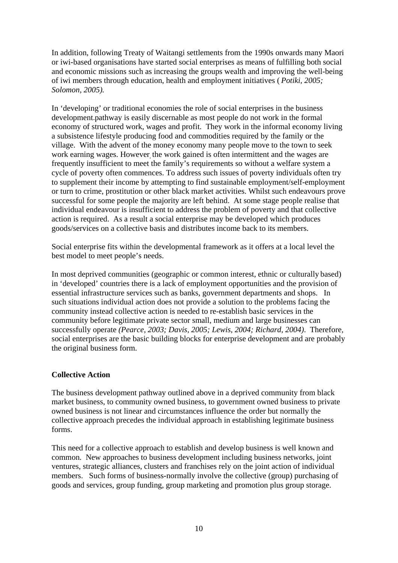In addition, following Treaty of Waitangi settlements from the 1990s onwards many Maori or iwi-based organisations have started social enterprises as means of fulfilling both social and economic missions such as increasing the groups wealth and improving the well-being of iwi members through education, health and employment initiatives ( *Potiki, 2005; Solomon, 2005).* 

In 'developing' or traditional economies the role of social enterprises in the business development-pathway is easily discernable as most people do not work in the formal economy of structured work, wages and profit. They work in the informal economy living a subsistence lifestyle producing food and commodities required by the family or the village. With the advent of the money economy many people move to the town to seek work earning wages. However, the work gained is often intermittent and the wages are frequently insufficient to meet the family's requirements so without a welfare system a cycle of poverty often commences. To address such issues of poverty individuals often try to supplement their income by attempting to find sustainable employment/self-employment or turn to crime, prostitution or other black market activities. Whilst such endeavours prove successful for some people the majority are left behind. At some stage people realise that individual endeavour is insufficient to address the problem of poverty and that collective action is required. As a result a social enterprise may be developed which produces goods/services on a collective basis and distributes income back to its members.

Social enterprise fits within the developmental framework as it offers at a local level the best model to meet people's needs.

In most deprived communities (geographic or common interest, ethnic or culturally based) in 'developed' countries there is a lack of employment opportunities and the provision of essential infrastructure services such as banks, government departments and shops. In such situations individual action does not provide a solution to the problems facing the community instead collective action is needed to re-establish basic services in the community before legitimate private sector small, medium and large businesses can successfully operate *(Pearce, 2003; Davis, 2005; Lewis, 2004; Richard, 2004)*. Therefore, social enterprises are the basic building blocks for enterprise development and are probably the original business form.

#### **Collective Action**

The business development pathway outlined above in a deprived community from black market business, to community owned business, to government owned business to private owned business is not linear and circumstances influence the order but normally the collective approach precedes the individual approach in establishing legitimate business forms.

This need for a collective approach to establish and develop business is well known and common. New approaches to business development including business networks, joint ventures, strategic alliances, clusters and franchises rely on the joint action of individual members. Such forms of business-normally involve the collective (group) purchasing of goods and services, group funding, group marketing and promotion plus group storage.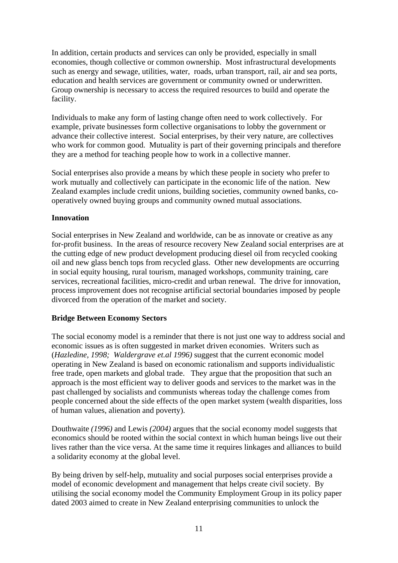In addition, certain products and services can only be provided, especially in small economies, though collective or common ownership. Most infrastructural developments such as energy and sewage, utilities, water, roads, urban transport, rail, air and sea ports, education and health services are government or community owned or underwritten. Group ownership is necessary to access the required resources to build and operate the facility.

Individuals to make any form of lasting change often need to work collectively. For example, private businesses form collective organisations to lobby the government or advance their collective interest. Social enterprises, by their very nature, are collectives who work for common good. Mutuality is part of their governing principals and therefore they are a method for teaching people how to work in a collective manner.

Social enterprises also provide a means by which these people in society who prefer to work mutually and collectively can participate in the economic life of the nation. New Zealand examples include credit unions, building societies, community owned banks, cooperatively owned buying groups and community owned mutual associations.

#### **Innovation**

Social enterprises in New Zealand and worldwide, can be as innovate or creative as any for-profit business. In the areas of resource recovery New Zealand social enterprises are at the cutting edge of new product development producing diesel oil from recycled cooking oil and new glass bench tops from recycled glass. Other new developments are occurring in social equity housing, rural tourism, managed workshops, community training, care services, recreational facilities, micro-credit and urban renewal. The drive for innovation, process improvement does not recognise artificial sectorial boundaries imposed by people divorced from the operation of the market and society.

# **Bridge Between Economy Sectors**

The social economy model is a reminder that there is not just one way to address social and economic issues as is often suggested in market driven economies. Writers such as (*Hazledine, 1998; Waldergrave et.al 1996)* suggest that the current economic model operating in New Zealand is based on economic rationalism and supports individualistic free trade, open markets and global trade. They argue that the proposition that such an approach is the most efficient way to deliver goods and services to the market was in the past challenged by socialists and communists whereas today the challenge comes from people concerned about the side effects of the open market system (wealth disparities, loss of human values, alienation and poverty).

Douthwaite *(1996)* and Lewis *(2004)* argues that the social economy model suggests that economics should be rooted within the social context in which human beings live out their lives rather than the vice versa. At the same time it requires linkages and alliances to build a solidarity economy at the global level.

By being driven by self-help, mutuality and social purposes social enterprises provide a model of economic development and management that helps create civil society. By utilising the social economy model the Community Employment Group in its policy paper dated 2003 aimed to create in New Zealand enterprising communities to unlock the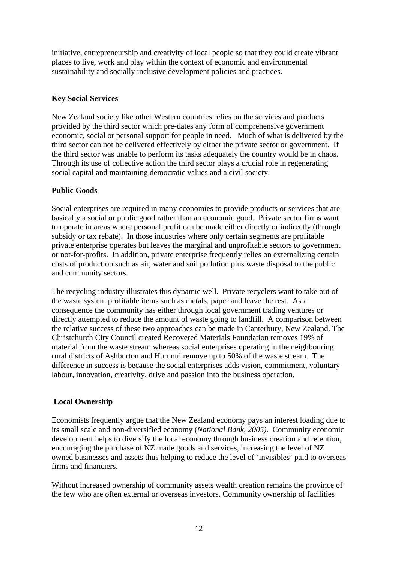initiative, entrepreneurship and creativity of local people so that they could create vibrant places to live, work and play within the context of economic and environmental sustainability and socially inclusive development policies and practices.

#### **Key Social Services**

New Zealand society like other Western countries relies on the services and products provided by the third sector which pre-dates any form of comprehensive government economic, social or personal support for people in need. Much of what is delivered by the third sector can not be delivered effectively by either the private sector or government. If the third sector was unable to perform its tasks adequately the country would be in chaos. Through its use of collective action the third sector plays a crucial role in regenerating social capital and maintaining democratic values and a civil society.

# **Public Goods**

Social enterprises are required in many economies to provide products or services that are basically a social or public good rather than an economic good. Private sector firms want to operate in areas where personal profit can be made either directly or indirectly (through subsidy or tax rebate). In those industries where only certain segments are profitable private enterprise operates but leaves the marginal and unprofitable sectors to government or not-for-profits. In addition, private enterprise frequently relies on externalizing certain costs of production such as air, water and soil pollution plus waste disposal to the public and community sectors.

The recycling industry illustrates this dynamic well. Private recyclers want to take out of the waste system profitable items such as metals, paper and leave the rest. As a consequence the community has either through local government trading ventures or directly attempted to reduce the amount of waste going to landfill. A comparison between the relative success of these two approaches can be made in Canterbury, New Zealand. The Christchurch City Council created Recovered Materials Foundation removes 19% of material from the waste stream whereas social enterprises operating in the neighbouring rural districts of Ashburton and Hurunui remove up to 50% of the waste stream. The difference in success is because the social enterprises adds vision, commitment, voluntary labour, innovation, creativity, drive and passion into the business operation.

# **Local Ownership**

Economists frequently argue that the New Zealand economy pays an interest loading due to its small scale and non-diversified economy (*National Bank, 2005)*. Community economic development helps to diversify the local economy through business creation and retention, encouraging the purchase of NZ made goods and services, increasing the level of NZ owned businesses and assets thus helping to reduce the level of 'invisibles' paid to overseas firms and financiers.

Without increased ownership of community assets wealth creation remains the province of the few who are often external or overseas investors. Community ownership of facilities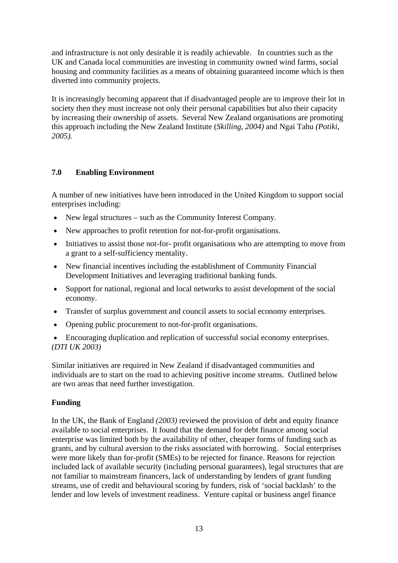and infrastructure is not only desirable it is readily achievable. In countries such as the UK and Canada local communities are investing in community owned wind farms, social housing and community facilities as a means of obtaining guaranteed income which is then diverted into community projects.

It is increasingly becoming apparent that if disadvantaged people are to improve their lot in society then they must increase not only their personal capabilities but also their capacity by increasing their ownership of assets. Several New Zealand organisations are promoting this approach including the New Zealand Institute (*Skilling, 2004)* and Ngai Tahu *(Potiki, 2005).* 

# **7.0 Enabling Environment**

A number of new initiatives have been introduced in the United Kingdom to support social enterprises including:

- New legal structures such as the Community Interest Company.
- New approaches to profit retention for not-for-profit organisations.
- Initiatives to assist those not-for- profit organisations who are attempting to move from a grant to a self-sufficiency mentality.
- New financial incentives including the establishment of Community Financial Development Initiatives and leveraging traditional banking funds.
- Support for national, regional and local networks to assist development of the social economy.
- Transfer of surplus government and council assets to social economy enterprises.
- Opening public procurement to not-for-profit organisations.

• Encouraging duplication and replication of successful social economy enterprises. *(DTI UK 2003)* 

Similar initiatives are required in New Zealand if disadvantaged communities and individuals are to start on the road to achieving positive income streams. Outlined below are two areas that need further investigation.

#### **Funding**

In the UK, the Bank of England *(2003)* reviewed the provision of debt and equity finance available to social enterprises. It found that the demand for debt finance among social enterprise was limited both by the availability of other, cheaper forms of funding such as grants, and by cultural aversion to the risks associated with borrowing. Social enterprises were more likely than for-profit (SMEs) to be rejected for finance. Reasons for rejection included lack of available security (including personal guarantees), legal structures that are not familiar to mainstream financers, lack of understanding by lenders of grant funding streams, use of credit and behavioural scoring by funders, risk of 'social backlash' to the lender and low levels of investment readiness. Venture capital or business angel finance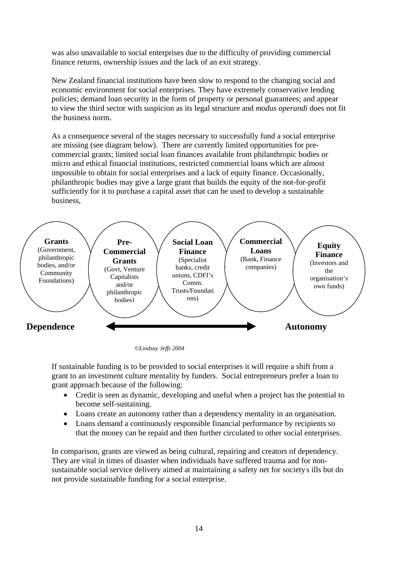was also unavailable to social enterprises due to the difficulty of providing commercial finance returns, ownership issues and the lack of an exit strategy.

New Zealand financial institutions have been slow to respond to the changing social and economic environment for social enterprises. They have extremely conservative lending policies; demand loan security in the form of property or personal guarantees; and appear to view the third sector with suspicion as its legal structure and *modus operandi* does not fit the business norm.

As a consequence several of the stages necessary to successfully fund a social enterprise are missing (see diagram below). There are currently limited opportunities for precommercial grants; limited social loan finances available from philanthropic bodies or micro and ethical financial institutions, restricted commercial loans which are almost impossible to obtain for social enterprises and a lack of equity finance. Occasionally, philanthropic bodies may give a large grant that builds the equity of the not-for-profit sufficiently for it to purchase a capital asset that can be used to develop a sustainable business,



*©Lindsay Jeffs 2004* 

If sustainable funding is to be provided to social enterprises it will require a shift from a grant to an investment culture mentality by funders. Social entrepreneurs prefer a loan to grant approach because of the following:

- Credit is seen as dynamic, developing and useful when a project has the potential to become self-sustaining.
- Loans create an autonomy rather than a dependency mentality in an organisation.
- Loans demand a continuously responsible financial performance by recipients so that the money can be repaid and then further circulated to other social enterprises.

In comparison, grants are viewed as being cultural, repairing and creators of dependency. They are vital in times of disaster when individuals have suffered trauma and for nonsustainable social service delivery aimed at maintaining a safety net for society's ills but do not provide sustainable funding for a social enterprise.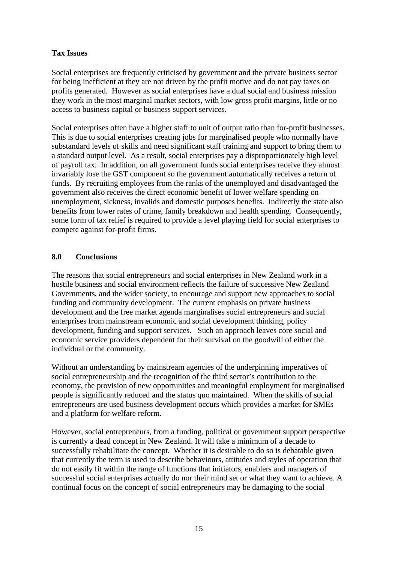### **Tax Issues**

Social enterprises are frequently criticised by government and the private business sector for being inefficient at they are not driven by the profit motive and do not pay taxes on profits generated. However as social enterprises have a dual social and business mission they work in the most marginal market sectors, with low gross profit margins, little or no access to business capital or business support services.

Social enterprises often have a higher staff to unit of output ratio than for-profit businesses. This is due to social enterprises creating jobs for marginalised people who normally have substandard levels of skills and need significant staff training and support to bring them to a standard output level. As a result, social enterprises pay a disproportionately high level of payroll tax. In addition, on all government funds social enterprises receive they almost invariably lose the GST component so the government automatically receives a return of funds. By recruiting employees from the ranks of the unemployed and disadvantaged the government also receives the direct economic benefit of lower welfare spending on unemployment, sickness, invalids and domestic purposes benefits. Indirectly the state also benefits from lower rates of crime, family breakdown and health spending. Consequently, some form of tax relief is required to provide a level playing field for social enterprises to compete against for-profit firms.

#### **8.0 Conclusions**

The reasons that social entrepreneurs and social enterprises in New Zealand work in a hostile business and social environment reflects the failure of successive New Zealand Governments, and the wider society, to encourage and support new approaches to social funding and community development. The current emphasis on private business development and the free market agenda marginalises social entrepreneurs and social enterprises from mainstream economic and social development thinking, policy development, funding and support services. Such an approach leaves core social and economic service providers dependent for their survival on the goodwill of either the individual or the community.

Without an understanding by mainstream agencies of the underpinning imperatives of social entrepreneurship and the recognition of the third sector's contribution to the economy, the provision of new opportunities and meaningful employment for marginalised people is significantly reduced and the status quo maintained. When the skills of social entrepreneurs are used business development occurs which provides a market for SMEs and a platform for welfare reform.

However, social entrepreneurs, from a funding, political or government support perspective is currently a dead concept in New Zealand. It will take a minimum of a decade to successfully rehabilitate the concept. Whether it is desirable to do so is debatable given that currently the term is used to describe behaviours, attitudes and styles of operation that do not easily fit within the range of functions that initiators, enablers and managers of successful social enterprises actually do nor their mind set or what they want to achieve. A continual focus on the concept of social entrepreneurs may be damaging to the social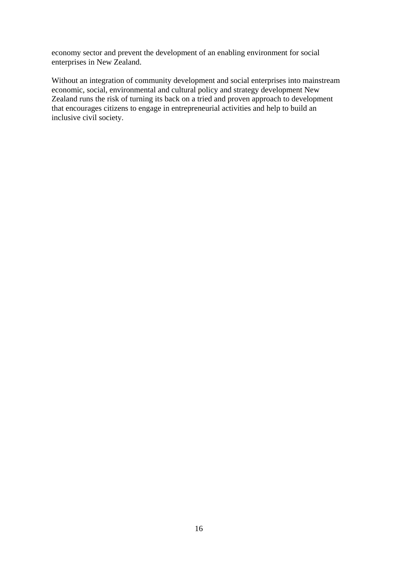economy sector and prevent the development of an enabling environment for social enterprises in New Zealand.

Without an integration of community development and social enterprises into mainstream economic, social, environmental and cultural policy and strategy development New Zealand runs the risk of turning its back on a tried and proven approach to development that encourages citizens to engage in entrepreneurial activities and help to build an inclusive civil society.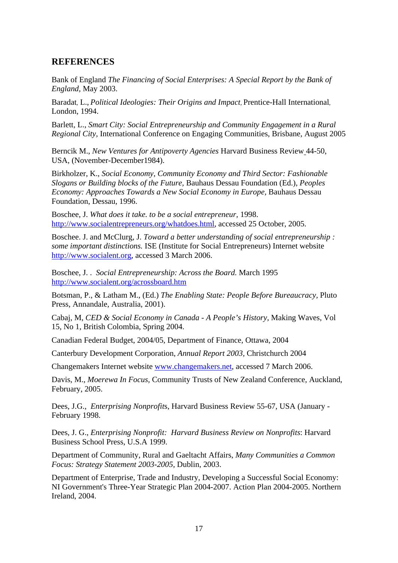# **REFERENCES**

Bank of England *The Financing of Social Enterprises: A Special Report by the Bank of England,* May 2003.

Baradat*,* L., *Political Ideologies: Their Origins and Impact,* Prentice-Hall International*,*  London, 1994.

Barlett*,* L., *Smart City: Social Entrepreneurship and Community Engagement in a Rural Regional City,* International Conference on Engaging Communities, Brisbane, August 2005

Berncik M., *New Ventures for Antipoverty Agencies* Harvard Business Review 44-50, USA, (November-December1984).

Birkholzer, K., *Social Economy, Community Economy and Third Sector: Fashionable Slogans or Building blocks of the Future,* Bauhaus Dessau Foundation (Ed.), *Peoples Economy: Approaches Towards a New Social Economy in Europe, Bauhaus Dessau* Foundation, Dessau, 1996.

Boschee, J. *What does it take. to be a social entrepreneur,* 1998. [http://www.socialentrepreneurs.org/whatdoes.html,](http://www.socialentrepreneurs.org/whatdoes.html) accessed 25 October, 2005.

Boschee. J. and McClurg, J. *Toward a better understanding of social entrepreneurship : some important distinctions.* ISE (Institute for Social Entrepreneurs) Internet website [http://www.socialent.org,](http://www.socialent.org/) accessed 3 March 2006.

Boschee, J. . *Social Entrepreneurship: Across the Board.* March 1995 <http://www.socialent.org/acrossboard.htm>

Botsman, P., & Latham M., (Ed.) *The Enabling State: People Before Bureaucracy,* Pluto Press, Annandale, Australia, 2001).

Cabaj, M, *CED & Social Economy in Canada - A People's History,* Making Waves, Vol 15, No 1, British Colombia, Spring 2004.

Canadian Federal Budget, 2004/05, Department of Finance, Ottawa, 2004

Canterbury Development Corporation, *Annual Report 2003,* Christchurch 2004

Changemakers Internet website [www.changemakers.net,](http://www.changemakers.net/) accessed 7 March 2006.

Davis, M., *Moerewa In Focus,* Community Trusts of New Zealand Conference, Auckland, February, 2005.

Dees, J.G., *Enterprising Nonprofit*s, Harvard Business Review 55-67, USA (January - February 1998.

Dees, J. G., *Enterprising Nonprofit: Harvard Business Review on Nonprofits*: Harvard Business School Press, U.S.A 1999.

Department of Community, Rural and Gaeltacht Affairs, *Many Communities a Common Focus: Strategy Statement 2003-2005,* Dublin, 2003.

Department of Enterprise, Trade and Industry, Developing a Successful Social Economy: NI Government's Three-Year Strategic Plan 2004-2007. Action Plan 2004-2005. Northern Ireland, 2004.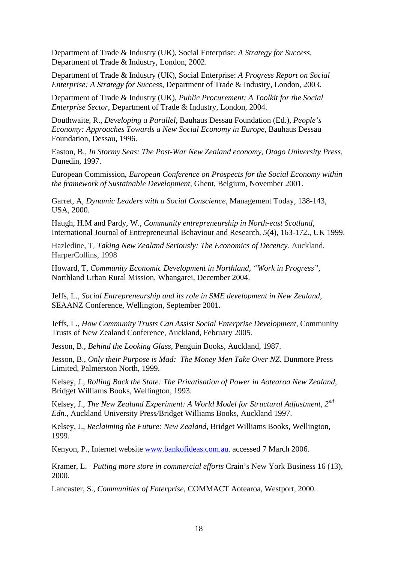Department of Trade & Industry (UK), Social Enterprise: *A Strategy for Success*, Department of Trade & Industry, London, 2002.

Department of Trade & Industry (UK), Social Enterprise: *A Progress Report on Social Enterprise: A Strategy for Success*, Department of Trade & Industry, London, 2003.

Department of Trade & Industry (UK), *Public Procurement: A Toolkit for the Social Enterprise Sector*, Department of Trade & Industry, London, 2004.

Douthwaite, R., *Developing a Parallel,* Bauhaus Dessau Foundation (Ed.), *People's Economy: Approaches Towards a New Social Economy in Europe, Bauhaus Dessau* Foundation, Dessau, 1996.

Easton, B., *In Stormy Seas: The Post-War New Zealand economy, Otago University Press,*  Dunedin, 1997.

European Commission, *European Conference on Prospects for the Social Economy within the framework of Sustainable Development,* Ghent, Belgium, November 2001.

Garret, A*, Dynamic Leaders with a Social Conscience,* Management Today, 138-143, USA, 2000.

Haugh, H.M and Pardy, W., *Community entrepreneurship in North-east Scotland*, International Journal of Entrepreneurial Behaviour and Research*, 5*(4), 163-172., UK 1999.

Hazledine, T, *Taking New Zealand Seriously: The Economics of Decency.* Auckland, HarperCollins, 1998

Howard, T, *Community Economic Development in Northland, "Work in Progress",*  Northland Urban Rural Mission, Whangarei, December 2004.

Jeffs, L., *Social Entrepreneurship and its role in SME development in New Zealand,* SEAANZ Conference, Wellington, September 2001.

Jeffs, L., *How Community Trusts Can Assist Social Enterprise Development,* Community Trusts of New Zealand Conference, Auckland, February 2005.

Jesson, B., *Behind the Looking Glass,* Penguin Books, Auckland, 1987.

Jesson, B., *Only their Purpose is Mad: The Money Men Take Over NZ.* Dunmore Press Limited, Palmerston North, 1999.

Kelsey, J., *Rolling Back the State: The Privatisation of Power in Aotearoa New Zealand*, Bridget Williams Books, Wellington, 1993.

Kelsey, J., *The New Zealand Experiment: A World Model for Structural Adjustment, 2nd Edn.,* Auckland University Press*/*Bridget Williams Books, Auckland 1997.

Kelsey, J., *Reclaiming the Future: New Zealand*, Bridget Williams Books, Wellington, 1999.

Kenyon, P., Internet website [www.bankofideas.com.au.](http://www.bankofideas.com.au/) accessed 7 March 2006.

Kramer, L. *Putting more store in commercial efforts* Crain's New York Business 16 (13), 2000.

Lancaster, S., *Communities of Enterprise,* COMMACT Aotearoa, Westport, 2000.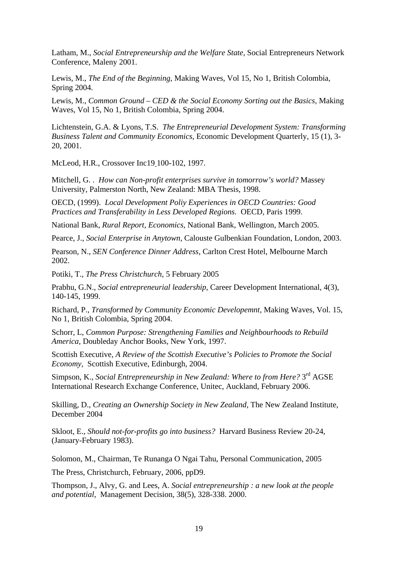Latham, M., *Social Entrepreneurship and the Welfare State,* Social Entrepreneurs Network Conference, Maleny 2001.

Lewis, M., *The End of the Beginning,* Making Waves, Vol 15, No 1, British Colombia, Spring 2004.

Lewis, M., *Common Ground – CED & the Social Economy Sorting out the Basics,* Making Waves, Vol 15, No 1, British Colombia, Spring 2004.

Lichtenstein, G.A. & Lyons, T.S. *The Entrepreneurial Development System: Transforming Business Talent and Community Economics*, Economic Development Quarterly, 15 (1), 3- 20, 2001.

McLeod, H.R., Crossover Inc19 100-102, 1997.

Mitchell, G. . *How can Non-profit enterprises survive in tomorrow's world?* Massey University, Palmerston North, New Zealand: MBA Thesis, 1998.

OECD, (1999). *Local Development Poliy Experiences in OECD Countries: Good Practices and Transferability in Less Developed Regions.* OECD*,* Paris 1999.

National Bank, *Rural Report, Economics*, National Bank, Wellington, March 2005.

Pearce, J., *Social Enterprise in Anytown,* Calouste Gulbenkian Foundation, London, 2003.

Pearson, N., *SEN Conference Dinner Address,* Carlton Crest Hotel, Melbourne March 2002.

Potiki, T., *The Press Christchurch,* 5 February 2005

Prabhu, G.N., *Social entrepreneurial leadership*, Career Development International, 4(3), 140-145, 1999.

Richard, P., *Transformed by Community Economic Developemnt,* Making Waves, Vol. 15, No 1, British Colombia, Spring 2004.

Schorr, L, *Common Purpose: Strengthening Families and Neighbourhoods to Rebuild America,* Doubleday Anchor Books, New York, 1997.

Scottish Executive, *A Review of the Scottish Executive's Policies to Promote the Social Economy,* Scottish Executive, Edinburgh, 2004.

Simpson, K., *Social Entrepreneurship in New Zealand: Where to from Here?* 3<sup>rd</sup> AGSE International Research Exchange Conference, Unitec, Auckland, February 2006.

Skilling, D., *Creating an Ownership Society in New Zealand,* The New Zealand Institute, December 2004

Skloot, E., *Should not-for-profits go into business?* Harvard Business Review 20-24, (January-February 1983).

Solomon, M., Chairman, Te Runanga O Ngai Tahu, Personal Communication, 2005

The Press, Christchurch, February, 2006, ppD9.

Thompson, J., Alvy, G. and Lees, A. *Social entrepreneurship : a new look at the people and potential*, Management Decision, 38(5), 328-338. 2000.